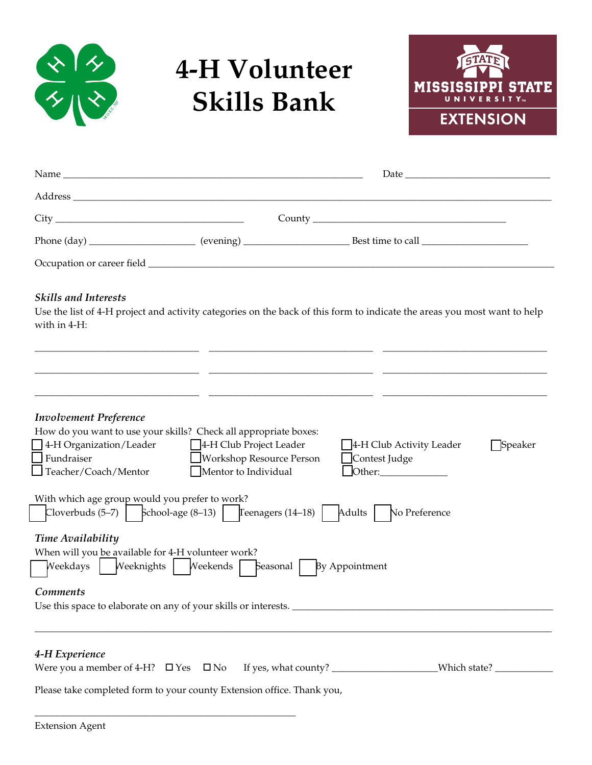

# **4-H Volunteer Skills Bank**



|                                                                                                                                   |                                                                                    | Date and the contract of the contract of the contract of the contract of the contract of the contract of the contract of the contract of the contract of the contract of the contract of the contract of the contract of the c |         |
|-----------------------------------------------------------------------------------------------------------------------------------|------------------------------------------------------------------------------------|--------------------------------------------------------------------------------------------------------------------------------------------------------------------------------------------------------------------------------|---------|
|                                                                                                                                   |                                                                                    |                                                                                                                                                                                                                                |         |
|                                                                                                                                   |                                                                                    |                                                                                                                                                                                                                                |         |
|                                                                                                                                   |                                                                                    |                                                                                                                                                                                                                                |         |
|                                                                                                                                   |                                                                                    |                                                                                                                                                                                                                                |         |
| <b>Skills and Interests</b><br>with in 4-H:                                                                                       |                                                                                    | Use the list of 4-H project and activity categories on the back of this form to indicate the areas you most want to help                                                                                                       |         |
| <b>Involvement Preference</b>                                                                                                     |                                                                                    |                                                                                                                                                                                                                                |         |
| How do you want to use your skills? Check all appropriate boxes:<br>4-H Organization/Leader<br>Fundraiser<br>Teacher/Coach/Mentor | 4-H Club Project Leader<br><b>Workshop Resource Person</b><br>Mentor to Individual | 4-H Club Activity Leader<br>Contest Judge<br>Other:                                                                                                                                                                            | Speaker |
| With which age group would you prefer to work?<br>Cloverbuds $(5-7)$   School-age $(8-13)$   Teenagers $(14-18)$                  |                                                                                    | Adults   No Preference                                                                                                                                                                                                         |         |
| <b>Time Availability</b><br>When will you be available for 4-H volunteer work?<br>Weekdays                                        | Weeknights   Weekends  <br>Seasonal                                                | By Appointment                                                                                                                                                                                                                 |         |
| <b>Comments</b>                                                                                                                   |                                                                                    |                                                                                                                                                                                                                                |         |
| 4-H Experience                                                                                                                    |                                                                                    |                                                                                                                                                                                                                                |         |
| Please take completed form to your county Extension office. Thank you,                                                            |                                                                                    |                                                                                                                                                                                                                                |         |

\_\_\_\_\_\_\_\_\_\_\_\_\_\_\_\_\_\_\_\_\_\_\_\_\_\_\_\_\_\_\_\_\_\_\_\_\_\_\_\_\_\_\_\_\_\_\_\_\_\_\_\_\_\_